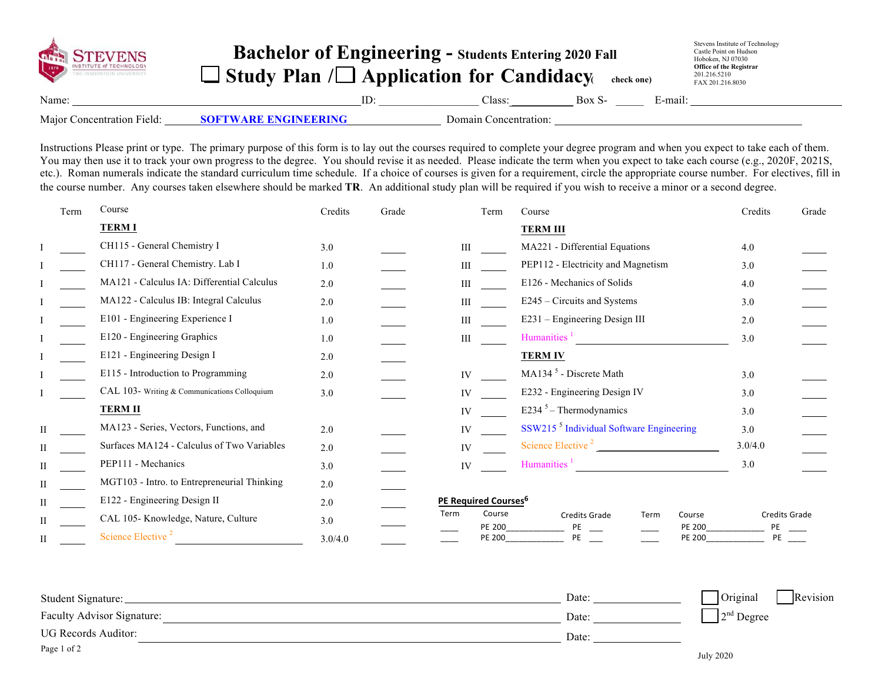| GITTLE VENS                | <b>Bachelor of Engineering - Students Entering 2020 Fall</b><br>$\Box$ Study Plan / $\Box$ Application for Candidacy |                       | check one) |         | Stevens Institute of Technology<br>Castle Point on Hudson<br>Hoboken, NJ 07030<br><b>Office of the Registrar</b><br>201.216.5210<br>FAX 201.216.8030 |
|----------------------------|----------------------------------------------------------------------------------------------------------------------|-----------------------|------------|---------|------------------------------------------------------------------------------------------------------------------------------------------------------|
| Name:                      |                                                                                                                      | Class:                | Box S-     | E-mail: |                                                                                                                                                      |
| Major Concentration Field: | <b>SOFTWARE ENGINEERING</b>                                                                                          | Domain Concentration: |            |         |                                                                                                                                                      |

Instructions Please print or type. The primary purpose of this form is to lay out the courses required to complete your degree program and when you expect to take each of them. You may then use it to track your own progress to the degree. You should revise it as needed. Please indicate the term when you expect to take each course (e.g., 2020F, 2021S, etc.). Roman numerals indicate the standard curriculum time schedule. If a choice of courses is given for a requirement, circle the appropriate course number. For electives, fill in the course number. Any courses taken elsewhere should be marked **TR**. An additional study plan will be required if you wish to receive a minor or a second degree.

| Term | Course                                       | Credits | Grade | Term                             | Course                                                  | Credits<br>Grade    |
|------|----------------------------------------------|---------|-------|----------------------------------|---------------------------------------------------------|---------------------|
|      | <b>TERMI</b>                                 |         |       |                                  | <b>TERM III</b>                                         |                     |
|      | CH115 - General Chemistry I                  | 3.0     |       | III                              | MA221 - Differential Equations                          | 4.0                 |
|      | CH117 - General Chemistry. Lab I             | 1.0     |       | Ш                                | PEP112 - Electricity and Magnetism                      | 3.0                 |
|      | MA121 - Calculus IA: Differential Calculus   | 2.0     |       | Ш                                | E126 - Mechanics of Solids                              | 4.0                 |
|      | MA122 - Calculus IB: Integral Calculus       | 2.0     |       | Ш                                | E245 – Circuits and Systems                             | 3.0                 |
|      | E101 - Engineering Experience I              | 1.0     |       | Ш                                | E231 - Engineering Design III                           | 2.0                 |
|      | E120 - Engineering Graphics                  | 1.0     |       | Ш                                | Humanities $\frac{1}{1}$                                | 3.0                 |
|      | E121 - Engineering Design I                  | 2.0     |       |                                  | <b>TERM IV</b>                                          |                     |
|      | E115 - Introduction to Programming           | 2.0     |       | IV                               | MA134 <sup>5</sup> - Discrete Math                      | 3.0                 |
|      | CAL 103- Writing & Communications Colloquium | 3.0     |       | IV                               | E232 - Engineering Design IV                            | 3.0                 |
|      | <b>TERM II</b>                               |         |       | IV                               | E234 $5$ – Thermodynamics                               | 3.0                 |
| Н    | MA123 - Series, Vectors, Functions, and      | 2.0     |       | IV                               | SSW215 <sup>5</sup> Individual Software Engineering     | 3.0                 |
|      | Surfaces MA124 - Calculus of Two Variables   | 2.0     |       | IV                               | Science Elective <sup>2</sup>                           | 3.0/4.0             |
|      | PEP111 - Mechanics                           | 3.0     |       | IV                               | Humanities <sup>1</sup>                                 | 3.0                 |
|      | MGT103 - Intro. to Entrepreneurial Thinking  | 2.0     |       |                                  |                                                         |                     |
|      | E122 - Engineering Design II                 | 2.0     |       | PE Required Courses <sup>6</sup> |                                                         |                     |
|      | CAL 105- Knowledge, Nature, Culture          | 3.0     |       | Term<br>Course<br>PE 200         | Course<br><b>Credits Grade</b><br>Term<br><b>PE 200</b> | Credits Grade<br>PE |
| П    | Science Elective <sup>2</sup>                | 3.0/4.0 |       | <b>PE 200</b>                    | <b>PE 200</b><br>PE                                     | PE                  |

| Student Signature:                | Date: | Original<br>Revision |
|-----------------------------------|-------|----------------------|
| <b>Faculty Advisor Signature:</b> | Date: | $2nd$ Degree         |
| UG Records Auditor:               | Date: |                      |
| Page 1 of 2                       |       | .                    |